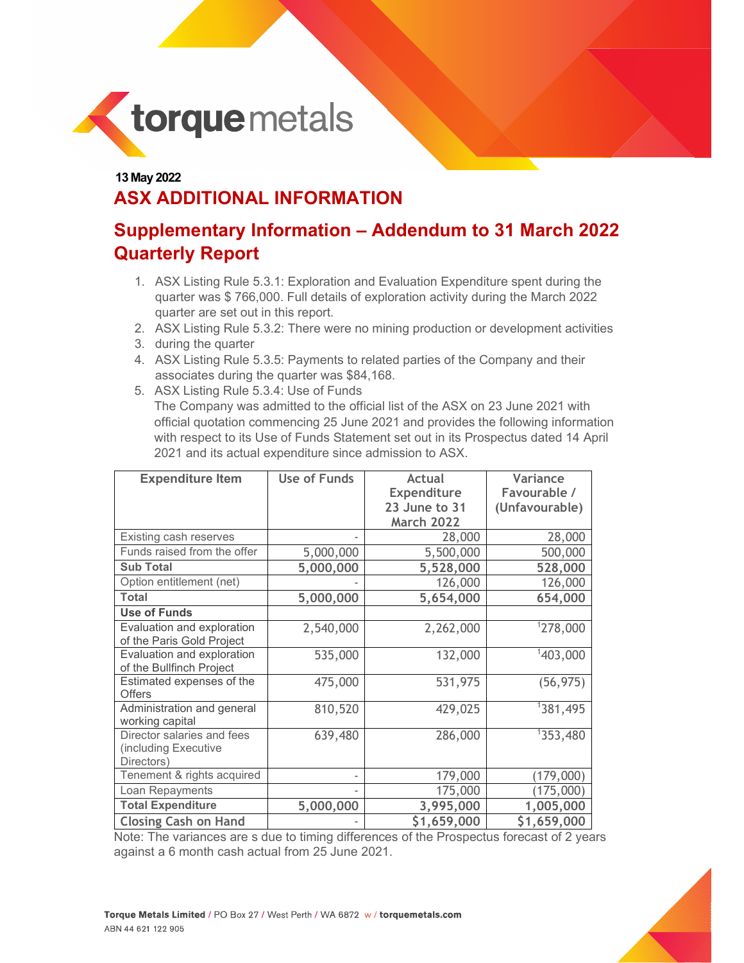

## **13 May 2022 ASX ADDITIONAL INFORMATION**

## **Supplementary Information – Addendum to 31 March 2022 Quarterly Report**

- 1. ASX Listing Rule 5.3.1: Exploration and Evaluation Expenditure spent during the quarter was \$ 766,000. Full details of exploration activity during the March 2022 quarter are set out in this report.
- 2. ASX Listing Rule 5.3.2: There were no mining production or development activities
- 3. during the quarter
- 4. ASX Listing Rule 5.3.5: Payments to related parties of the Company and their associates during the quarter was \$84,168.
- 5. ASX Listing Rule 5.3.4: Use of Funds

The Company was admitted to the official list of the ASX on 23 June 2021 with official quotation commencing 25 June 2021 and provides the following information with respect to its Use of Funds Statement set out in its Prospectus dated 14 April 2021 and its actual expenditure since admission to ASX.

| <b>Expenditure Item</b>     | <b>Use of Funds</b> | <b>Actual</b>     | Variance       |
|-----------------------------|---------------------|-------------------|----------------|
|                             |                     | Expenditure       | Favourable /   |
|                             |                     | 23 June to 31     | (Unfavourable) |
|                             |                     | <b>March 2022</b> |                |
| Existing cash reserves      |                     | 28,000            | 28,000         |
| Funds raised from the offer | 5,000,000           | 5,500,000         | 500,000        |
| <b>Sub Total</b>            | 5,000,000           | 5,528,000         | 528,000        |
| Option entitlement (net)    |                     | 126,000           | 126,000        |
| <b>Total</b>                | 5,000,000           | 5,654,000         | 654,000        |
| <b>Use of Funds</b>         |                     |                   |                |
| Evaluation and exploration  | 2,540,000           | 2,262,000         | 1278,000       |
| of the Paris Gold Project   |                     |                   |                |
| Evaluation and exploration  | 535,000             | 132,000           | 1403,000       |
| of the Bullfinch Project    |                     |                   |                |
| Estimated expenses of the   | 475,000             | 531,975           | (56, 975)      |
| <b>Offers</b>               |                     |                   |                |
| Administration and general  | 810,520             | 429,025           | 1381,495       |
| working capital             |                     |                   |                |
| Director salaries and fees  | 639,480             | 286,000           | 1353,480       |
| (including Executive        |                     |                   |                |
| Directors)                  |                     |                   |                |
| Tenement & rights acquired  |                     | 179,000           | (179,000)      |
| Loan Repayments             |                     | 175,000           | 175,000        |
| <b>Total Expenditure</b>    | 5,000,000           | 3,995,000         | 1,005,000      |
| <b>Closing Cash on Hand</b> |                     | \$1,659,000       | \$1,659,000    |

Note: The variances are s due to timing differences of the Prospectus forecast of 2 years against a 6 month cash actual from 25 June 2021.